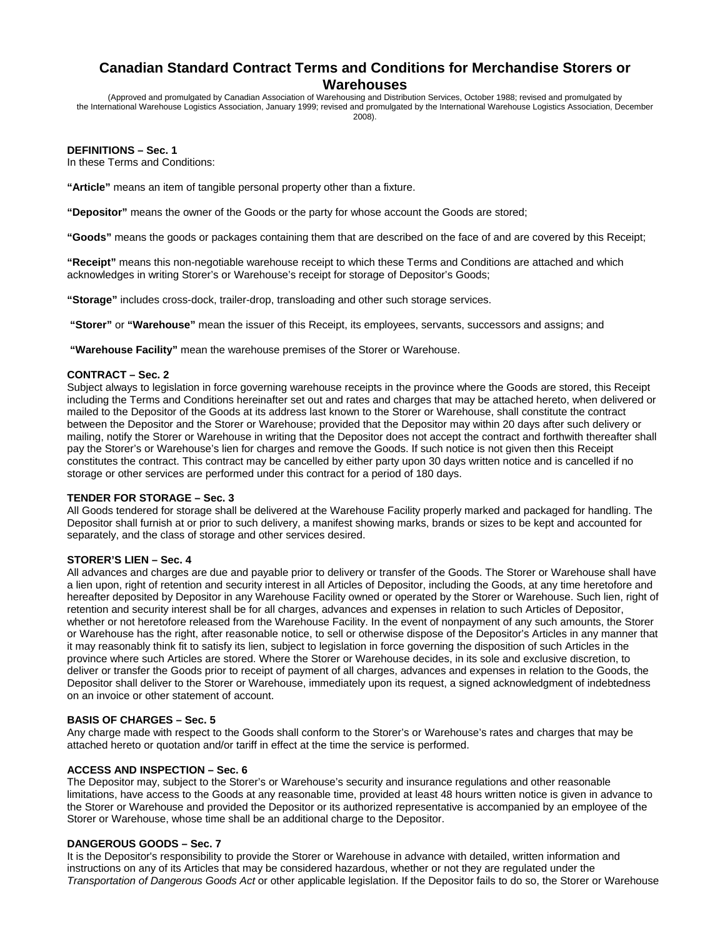# **Canadian Standard Contract Terms and Conditions for Merchandise Storers or Warehouses**

(Approved and promulgated by Canadian Association of Warehousing and Distribution Services, October 1988; revised and promulgated by the International Warehouse Logistics Association, January 1999; revised and promulgated by the International Warehouse Logistics Association, December 2008).

## **DEFINITIONS – Sec. 1**

In these Terms and Conditions:

**"Article"** means an item of tangible personal property other than a fixture.

**"Depositor"** means the owner of the Goods or the party for whose account the Goods are stored;

**"Goods"** means the goods or packages containing them that are described on the face of and are covered by this Receipt;

**"Receipt"** means this non-negotiable warehouse receipt to which these Terms and Conditions are attached and which acknowledges in writing Storer's or Warehouse's receipt for storage of Depositor's Goods;

**"Storage"** includes cross-dock, trailer-drop, transloading and other such storage services.

 **"Storer"** or **"Warehouse"** mean the issuer of this Receipt, its employees, servants, successors and assigns; and

**"Warehouse Facility"** mean the warehouse premises of the Storer or Warehouse.

#### **CONTRACT – Sec. 2**

Subject always to legislation in force governing warehouse receipts in the province where the Goods are stored, this Receipt including the Terms and Conditions hereinafter set out and rates and charges that may be attached hereto, when delivered or mailed to the Depositor of the Goods at its address last known to the Storer or Warehouse, shall constitute the contract between the Depositor and the Storer or Warehouse; provided that the Depositor may within 20 days after such delivery or mailing, notify the Storer or Warehouse in writing that the Depositor does not accept the contract and forthwith thereafter shall pay the Storer's or Warehouse's lien for charges and remove the Goods. If such notice is not given then this Receipt constitutes the contract. This contract may be cancelled by either party upon 30 days written notice and is cancelled if no storage or other services are performed under this contract for a period of 180 days.

#### **TENDER FOR STORAGE – Sec. 3**

All Goods tendered for storage shall be delivered at the Warehouse Facility properly marked and packaged for handling. The Depositor shall furnish at or prior to such delivery, a manifest showing marks, brands or sizes to be kept and accounted for separately, and the class of storage and other services desired.

## **STORER'S LIEN – Sec. 4**

All advances and charges are due and payable prior to delivery or transfer of the Goods. The Storer or Warehouse shall have a lien upon, right of retention and security interest in all Articles of Depositor, including the Goods, at any time heretofore and hereafter deposited by Depositor in any Warehouse Facility owned or operated by the Storer or Warehouse. Such lien, right of retention and security interest shall be for all charges, advances and expenses in relation to such Articles of Depositor, whether or not heretofore released from the Warehouse Facility. In the event of nonpayment of any such amounts, the Storer or Warehouse has the right, after reasonable notice, to sell or otherwise dispose of the Depositor's Articles in any manner that it may reasonably think fit to satisfy its lien, subject to legislation in force governing the disposition of such Articles in the province where such Articles are stored. Where the Storer or Warehouse decides, in its sole and exclusive discretion, to deliver or transfer the Goods prior to receipt of payment of all charges, advances and expenses in relation to the Goods, the Depositor shall deliver to the Storer or Warehouse, immediately upon its request, a signed acknowledgment of indebtedness on an invoice or other statement of account.

#### **BASIS OF CHARGES – Sec. 5**

Any charge made with respect to the Goods shall conform to the Storer's or Warehouse's rates and charges that may be attached hereto or quotation and/or tariff in effect at the time the service is performed.

#### **ACCESS AND INSPECTION – Sec. 6**

The Depositor may, subject to the Storer's or Warehouse's security and insurance regulations and other reasonable limitations, have access to the Goods at any reasonable time, provided at least 48 hours written notice is given in advance to the Storer or Warehouse and provided the Depositor or its authorized representative is accompanied by an employee of the Storer or Warehouse, whose time shall be an additional charge to the Depositor.

#### **DANGEROUS GOODS – Sec. 7**

It is the Depositor's responsibility to provide the Storer or Warehouse in advance with detailed, written information and instructions on any of its Articles that may be considered hazardous, whether or not they are regulated under the *Transportation of Dangerous Goods Act* or other applicable legislation. If the Depositor fails to do so, the Storer or Warehouse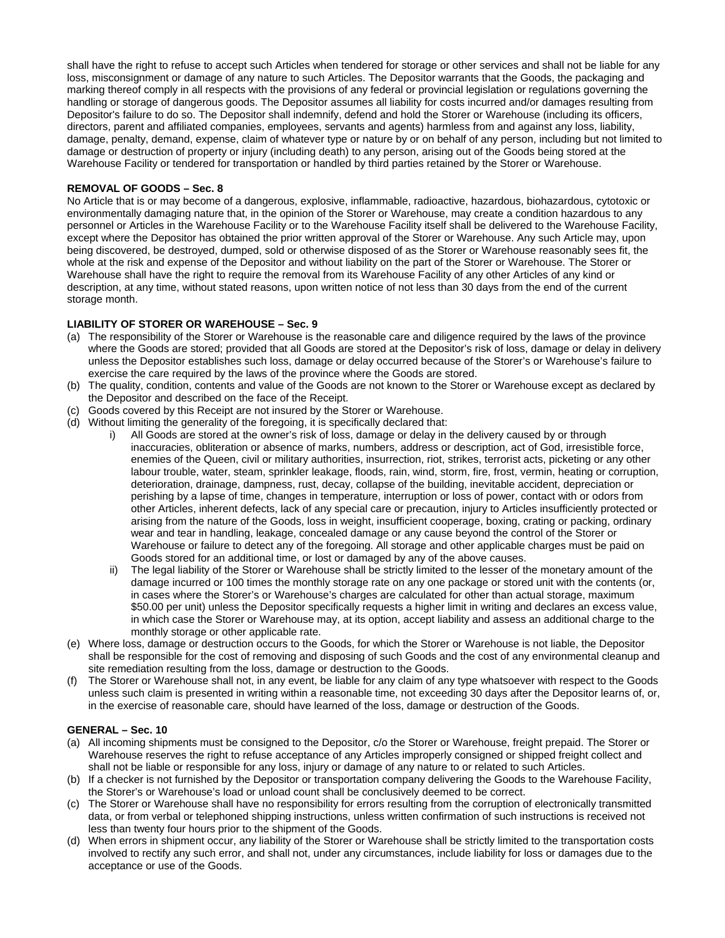shall have the right to refuse to accept such Articles when tendered for storage or other services and shall not be liable for any loss, misconsignment or damage of any nature to such Articles. The Depositor warrants that the Goods, the packaging and marking thereof comply in all respects with the provisions of any federal or provincial legislation or regulations governing the handling or storage of dangerous goods. The Depositor assumes all liability for costs incurred and/or damages resulting from Depositor's failure to do so. The Depositor shall indemnify, defend and hold the Storer or Warehouse (including its officers, directors, parent and affiliated companies, employees, servants and agents) harmless from and against any loss, liability, damage, penalty, demand, expense, claim of whatever type or nature by or on behalf of any person, including but not limited to damage or destruction of property or injury (including death) to any person, arising out of the Goods being stored at the Warehouse Facility or tendered for transportation or handled by third parties retained by the Storer or Warehouse.

# **REMOVAL OF GOODS – Sec. 8**

No Article that is or may become of a dangerous, explosive, inflammable, radioactive, hazardous, biohazardous, cytotoxic or environmentally damaging nature that, in the opinion of the Storer or Warehouse, may create a condition hazardous to any personnel or Articles in the Warehouse Facility or to the Warehouse Facility itself shall be delivered to the Warehouse Facility, except where the Depositor has obtained the prior written approval of the Storer or Warehouse. Any such Article may, upon being discovered, be destroyed, dumped, sold or otherwise disposed of as the Storer or Warehouse reasonably sees fit, the whole at the risk and expense of the Depositor and without liability on the part of the Storer or Warehouse. The Storer or Warehouse shall have the right to require the removal from its Warehouse Facility of any other Articles of any kind or description, at any time, without stated reasons, upon written notice of not less than 30 days from the end of the current storage month.

## **LIABILITY OF STORER OR WAREHOUSE – Sec. 9**

- (a) The responsibility of the Storer or Warehouse is the reasonable care and diligence required by the laws of the province where the Goods are stored; provided that all Goods are stored at the Depositor's risk of loss, damage or delay in delivery unless the Depositor establishes such loss, damage or delay occurred because of the Storer's or Warehouse's failure to exercise the care required by the laws of the province where the Goods are stored.
- (b) The quality, condition, contents and value of the Goods are not known to the Storer or Warehouse except as declared by the Depositor and described on the face of the Receipt.
- (c) Goods covered by this Receipt are not insured by the Storer or Warehouse.
- (d) Without limiting the generality of the foregoing, it is specifically declared that:
	- i) All Goods are stored at the owner's risk of loss, damage or delay in the delivery caused by or through inaccuracies, obliteration or absence of marks, numbers, address or description, act of God, irresistible force, enemies of the Queen, civil or military authorities, insurrection, riot, strikes, terrorist acts, picketing or any other labour trouble, water, steam, sprinkler leakage, floods, rain, wind, storm, fire, frost, vermin, heating or corruption, deterioration, drainage, dampness, rust, decay, collapse of the building, inevitable accident, depreciation or perishing by a lapse of time, changes in temperature, interruption or loss of power, contact with or odors from other Articles, inherent defects, lack of any special care or precaution, injury to Articles insufficiently protected or arising from the nature of the Goods, loss in weight, insufficient cooperage, boxing, crating or packing, ordinary wear and tear in handling, leakage, concealed damage or any cause beyond the control of the Storer or Warehouse or failure to detect any of the foregoing. All storage and other applicable charges must be paid on Goods stored for an additional time, or lost or damaged by any of the above causes.
	- ii) The legal liability of the Storer or Warehouse shall be strictly limited to the lesser of the monetary amount of the damage incurred or 100 times the monthly storage rate on any one package or stored unit with the contents (or, in cases where the Storer's or Warehouse's charges are calculated for other than actual storage, maximum \$50.00 per unit) unless the Depositor specifically requests a higher limit in writing and declares an excess value, in which case the Storer or Warehouse may, at its option, accept liability and assess an additional charge to the monthly storage or other applicable rate.
- (e) Where loss, damage or destruction occurs to the Goods, for which the Storer or Warehouse is not liable, the Depositor shall be responsible for the cost of removing and disposing of such Goods and the cost of any environmental cleanup and site remediation resulting from the loss, damage or destruction to the Goods.
- (f) The Storer or Warehouse shall not, in any event, be liable for any claim of any type whatsoever with respect to the Goods unless such claim is presented in writing within a reasonable time, not exceeding 30 days after the Depositor learns of, or, in the exercise of reasonable care, should have learned of the loss, damage or destruction of the Goods.

# **GENERAL – Sec. 10**

- (a) All incoming shipments must be consigned to the Depositor, c/o the Storer or Warehouse, freight prepaid. The Storer or Warehouse reserves the right to refuse acceptance of any Articles improperly consigned or shipped freight collect and shall not be liable or responsible for any loss, injury or damage of any nature to or related to such Articles.
- (b) If a checker is not furnished by the Depositor or transportation company delivering the Goods to the Warehouse Facility, the Storer's or Warehouse's load or unload count shall be conclusively deemed to be correct.
- (c) The Storer or Warehouse shall have no responsibility for errors resulting from the corruption of electronically transmitted data, or from verbal or telephoned shipping instructions, unless written confirmation of such instructions is received not less than twenty four hours prior to the shipment of the Goods.
- (d) When errors in shipment occur, any liability of the Storer or Warehouse shall be strictly limited to the transportation costs involved to rectify any such error, and shall not, under any circumstances, include liability for loss or damages due to the acceptance or use of the Goods.